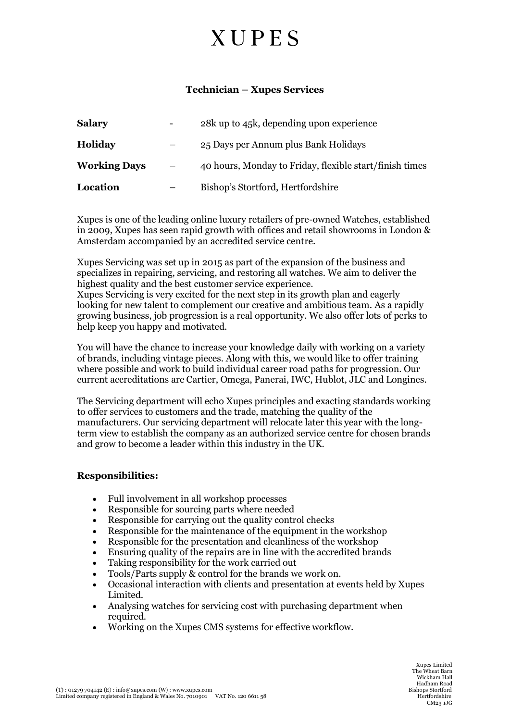## **XUPES**

### **Technician – Xupes Services**

| <b>Salary</b>       | - | 28k up to 45k, depending upon experience                |
|---------------------|---|---------------------------------------------------------|
| <b>Holiday</b>      |   | 25 Days per Annum plus Bank Holidays                    |
| <b>Working Days</b> |   | 40 hours, Monday to Friday, flexible start/finish times |
| Location            |   | Bishop's Stortford, Hertfordshire                       |

Xupes is one of the leading online luxury retailers of pre-owned Watches, established in 2009, Xupes has seen rapid growth with offices and retail showrooms in London & Amsterdam accompanied by an accredited service centre.

Xupes Servicing was set up in 2015 as part of the expansion of the business and specializes in repairing, servicing, and restoring all watches. We aim to deliver the highest quality and the best customer service experience.

Xupes Servicing is very excited for the next step in its growth plan and eagerly looking for new talent to complement our creative and ambitious team. As a rapidly growing business, job progression is a real opportunity. We also offer lots of perks to help keep you happy and motivated.

You will have the chance to increase your knowledge daily with working on a variety of brands, including vintage pieces. Along with this, we would like to offer training where possible and work to build individual career road paths for progression. Our current accreditations are Cartier, Omega, Panerai, IWC, Hublot, JLC and Longines.

The Servicing department will echo Xupes principles and exacting standards working to offer services to customers and the trade, matching the quality of the manufacturers. Our servicing department will relocate later this year with the longterm view to establish the company as an authorized service centre for chosen brands and grow to become a leader within this industry in the UK.

#### **Responsibilities:**

- Full involvement in all workshop processes
- Responsible for sourcing parts where needed
- Responsible for carrying out the quality control checks
- Responsible for the maintenance of the equipment in the workshop
- Responsible for the presentation and cleanliness of the workshop
- Ensuring quality of the repairs are in line with the accredited brands
- Taking responsibility for the work carried out
- Tools/Parts supply & control for the brands we work on.
- Occasional interaction with clients and presentation at events held by Xupes Limited.
- Analysing watches for servicing cost with purchasing department when required.
- Working on the Xupes CMS systems for effective workflow.